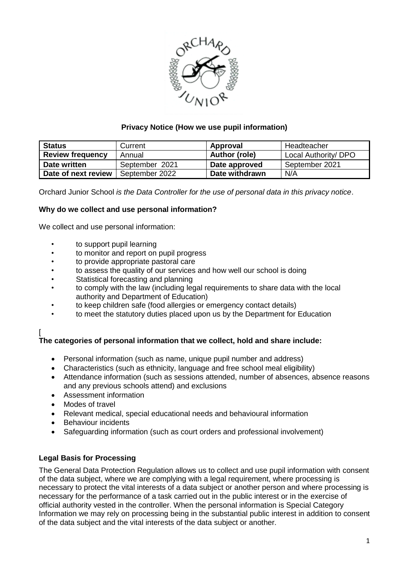

# **Privacy Notice (How we use pupil information)**

| <b>Status</b>           | Current        | Approval       | Headteacher          |
|-------------------------|----------------|----------------|----------------------|
| <b>Review frequency</b> | Annual         | Author (role)  | Local Authority/ DPO |
| Date written            | September 2021 | Date approved  | September 2021       |
| Date of next review     | September 2022 | Date withdrawn | N/A                  |

Orchard Junior School *is the Data Controller for the use of personal data in this privacy notice*.

## **Why do we collect and use personal information?**

We collect and use personal information:

- to support pupil learning
- to monitor and report on pupil progress
- to provide appropriate pastoral care
- to assess the quality of our services and how well our school is doing
- Statistical forecasting and planning
- to comply with the law (including legal requirements to share data with the local authority and Department of Education)
- to keep children safe (food allergies or emergency contact details)
- to meet the statutory duties placed upon us by the Department for Education

#### [ **The categories of personal information that we collect, hold and share include:**

- Personal information (such as name, unique pupil number and address)
- Characteristics (such as ethnicity, language and free school meal eligibility)
- Attendance information (such as sessions attended, number of absences, absence reasons and any previous schools attend) and exclusions
- Assessment information
- Modes of travel
- Relevant medical, special educational needs and behavioural information
- Behaviour incidents
- Safeguarding information (such as court orders and professional involvement)

## **Legal Basis for Processing**

The General Data Protection Regulation allows us to collect and use pupil information with consent of the data subject, where we are complying with a legal requirement, where processing is necessary to protect the vital interests of a data subject or another person and where processing is necessary for the performance of a task carried out in the public interest or in the exercise of official authority vested in the controller. When the personal information is Special Category Information we may rely on processing being in the substantial public interest in addition to consent of the data subject and the vital interests of the data subject or another.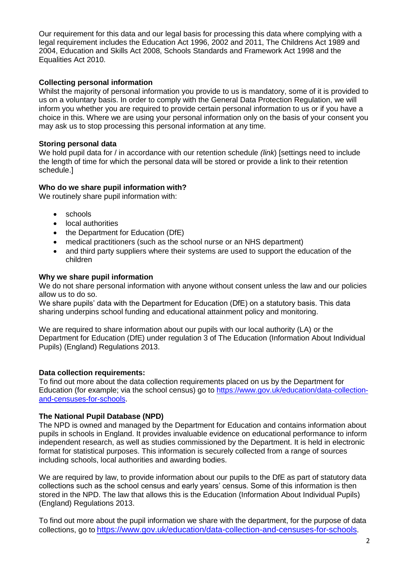Our requirement for this data and our legal basis for processing this data where complying with a legal requirement includes the Education Act 1996, 2002 and 2011, The Childrens Act 1989 and 2004, Education and Skills Act 2008, Schools Standards and Framework Act 1998 and the Equalities Act 2010.

## **Collecting personal information**

Whilst the majority of personal information you provide to us is mandatory, some of it is provided to us on a voluntary basis. In order to comply with the General Data Protection Regulation, we will inform you whether you are required to provide certain personal information to us or if you have a choice in this. Where we are using your personal information only on the basis of your consent you may ask us to stop processing this personal information at any time.

## **Storing personal data**

We hold pupil data for / in accordance with our retention schedule *(link*) [settings need to include the length of time for which the personal data will be stored or provide a link to their retention schedule.]

## **Who do we share pupil information with?**

We routinely share pupil information with:

- schools
- local authorities
- the Department for Education (DfE)
- medical practitioners (such as the school nurse or an NHS department)
- and third party suppliers where their systems are used to support the education of the children

#### **Why we share pupil information**

We do not share personal information with anyone without consent unless the law and our policies allow us to do so.

We share pupils' data with the Department for Education (DfE) on a statutory basis. This data sharing underpins school funding and educational attainment policy and monitoring.

We are required to share information about our pupils with our local authority (LA) or the Department for Education (DfE) under regulation 3 of The Education (Information About Individual Pupils) (England) Regulations 2013.

## **Data collection requirements:**

To find out more about the data collection requirements placed on us by the Department for Education (for example; via the school census) go to [https://www.gov.uk/education/data-collection](https://www.gov.uk/education/data-collection-and-censuses-for-schools)[and-censuses-for-schools.](https://www.gov.uk/education/data-collection-and-censuses-for-schools)

## **The National Pupil Database (NPD)**

The NPD is owned and managed by the Department for Education and contains information about pupils in schools in England. It provides invaluable evidence on educational performance to inform independent research, as well as studies commissioned by the Department. It is held in electronic format for statistical purposes. This information is securely collected from a range of sources including schools, local authorities and awarding bodies.

We are required by law, to provide information about our pupils to the DfE as part of statutory data collections such as the school census and early years' census. Some of this information is then stored in the NPD. The law that allows this is the Education (Information About Individual Pupils) (England) Regulations 2013.

To find out more about the pupil information we share with the department, for the purpose of data collections, go to <https://www.gov.uk/education/data-collection-and-censuses-for-schools>.